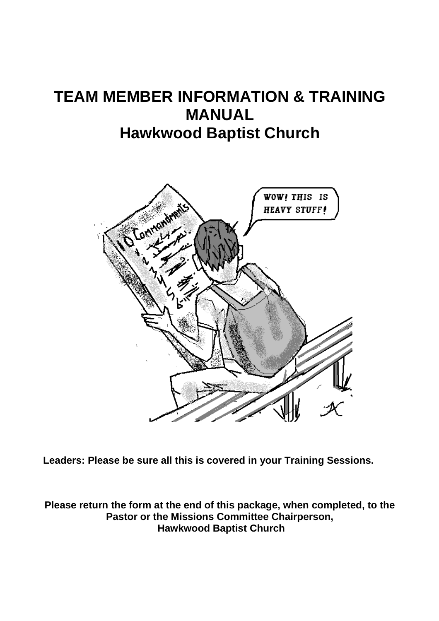# **TEAM MEMBER INFORMATION & TRAINING MANUAL Hawkwood Baptist Church**



 **Leaders: Please be sure all this is covered in your Training Sessions.** 

**Please return the form at the end of this package, when completed, to the Pastor or the Missions Committee Chairperson, Hawkwood Baptist Church**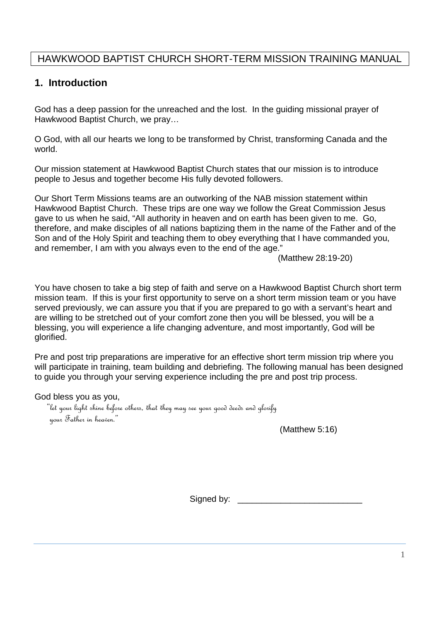## **1. Introduction**

God has a deep passion for the unreached and the lost. In the guiding missional prayer of Hawkwood Baptist Church, we pray…

O God, with all our hearts we long to be transformed by Christ, transforming Canada and the world.

Our mission statement at Hawkwood Baptist Church states that our mission is to introduce people to Jesus and together become His fully devoted followers.

Our Short Term Missions teams are an outworking of the NAB mission statement within Hawkwood Baptist Church. These trips are one way we follow the Great Commission Jesus gave to us when he said, "All authority in heaven and on earth has been given to me. Go, therefore, and make disciples of all nations baptizing them in the name of the Father and of the Son and of the Holy Spirit and teaching them to obey everything that I have commanded you, and remember, I am with you always even to the end of the age."

(Matthew 28:19-20)

You have chosen to take a big step of faith and serve on a Hawkwood Baptist Church short term mission team. If this is your first opportunity to serve on a short term mission team or you have served previously, we can assure you that if you are prepared to go with a servant's heart and are willing to be stretched out of your comfort zone then you will be blessed, you will be a blessing, you will experience a life changing adventure, and most importantly, God will be glorified.

Pre and post trip preparations are imperative for an effective short term mission trip where you will participate in training, team building and debriefing. The following manual has been designed to guide you through your serving experience including the pre and post trip process.

God bless you as you,

 "let your light shine before others, that they may see your good deeds and glorify your Father in heaven."

(Matthew 5:16)

Signed by: \_\_\_\_\_\_\_\_\_\_\_\_\_\_\_\_\_\_\_\_\_\_\_\_\_\_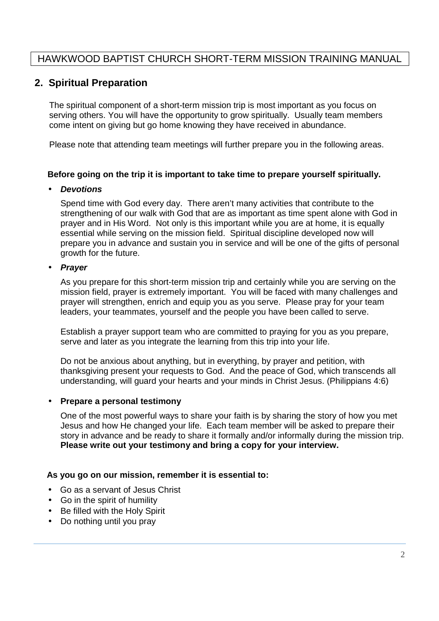## **2. Spiritual Preparation**

The spiritual component of a short-term mission trip is most important as you focus on serving others. You will have the opportunity to grow spiritually. Usually team members come intent on giving but go home knowing they have received in abundance.

Please note that attending team meetings will further prepare you in the following areas.

#### **Before going on the trip it is important to take time to prepare yourself spiritually.**

#### • **Devotions**

Spend time with God every day. There aren't many activities that contribute to the strengthening of our walk with God that are as important as time spent alone with God in prayer and in His Word. Not only is this important while you are at home, it is equally essential while serving on the mission field. Spiritual discipline developed now will prepare you in advance and sustain you in service and will be one of the gifts of personal growth for the future.

#### • **Prayer**

As you prepare for this short-term mission trip and certainly while you are serving on the mission field, prayer is extremely important. You will be faced with many challenges and prayer will strengthen, enrich and equip you as you serve. Please pray for your team leaders, your teammates, yourself and the people you have been called to serve.

Establish a prayer support team who are committed to praying for you as you prepare, serve and later as you integrate the learning from this trip into your life.

Do not be anxious about anything, but in everything, by prayer and petition, with thanksgiving present your requests to God. And the peace of God, which transcends all understanding, will guard your hearts and your minds in Christ Jesus. (Philippians 4:6)

#### • **Prepare a personal testimony**

One of the most powerful ways to share your faith is by sharing the story of how you met Jesus and how He changed your life. Each team member will be asked to prepare their story in advance and be ready to share it formally and/or informally during the mission trip. **Please write out your testimony and bring a copy for your interview.** 

## **As you go on our mission, remember it is essential to:**

- Go as a servant of Jesus Christ
- Go in the spirit of humility
- Be filled with the Holy Spirit
- Do nothing until you pray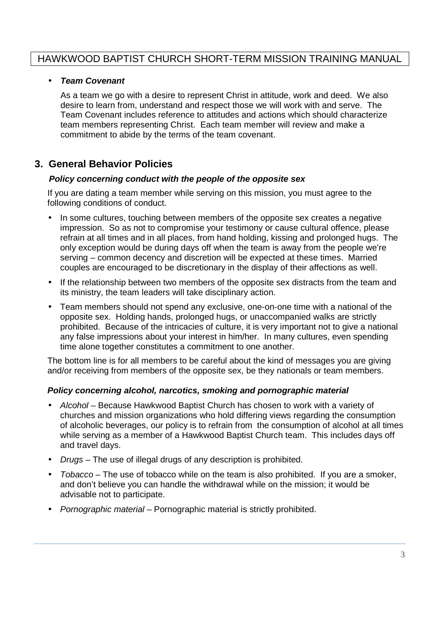## • **Team Covenant**

As a team we go with a desire to represent Christ in attitude, work and deed.We also desire to learn from, understand and respect those we will work with and serve. The Team Covenant includes reference to attitudes and actions which should characterize team members representing Christ. Each team member will review and make a commitment to abide by the terms of the team covenant.

## **3. General Behavior Policies**

## **Policy concerning conduct with the people of the opposite sex**

If you are dating a team member while serving on this mission, you must agree to the following conditions of conduct.

- In some cultures, touching between members of the opposite sex creates a negative impression. So as not to compromise your testimony or cause cultural offence, please refrain at all times and in all places, from hand holding, kissing and prolonged hugs. The only exception would be during days off when the team is away from the people we're serving – common decency and discretion will be expected at these times. Married couples are encouraged to be discretionary in the display of their affections as well.
- If the relationship between two members of the opposite sex distracts from the team and its ministry, the team leaders will take disciplinary action.
- Team members should not spend any exclusive, one-on-one time with a national of the opposite sex. Holding hands, prolonged hugs, or unaccompanied walks are strictly prohibited. Because of the intricacies of culture, it is very important not to give a national any false impressions about your interest in him/her. In many cultures, even spending time alone together constitutes a commitment to one another.

The bottom line is for all members to be careful about the kind of messages you are giving and/or receiving from members of the opposite sex, be they nationals or team members.

## **Policy concerning alcohol, narcotics, smoking and pornographic material**

- Alcohol Because Hawkwood Baptist Church has chosen to work with a variety of churches and mission organizations who hold differing views regarding the consumption of alcoholic beverages, our policy is to refrain from the consumption of alcohol at all times while serving as a member of a Hawkwood Baptist Church team. This includes days off and travel days.
- Drugs The use of illegal drugs of any description is prohibited.
- Tobacco The use of tobacco while on the team is also prohibited. If you are a smoker, and don't believe you can handle the withdrawal while on the mission; it would be advisable not to participate.
- Pornographic material Pornographic material is strictly prohibited.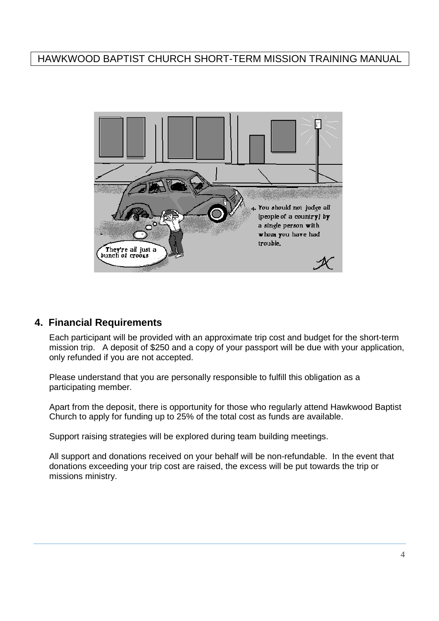

## **4. Financial Requirements**

Each participant will be provided with an approximate trip cost and budget for the short-term mission trip. A deposit of \$250 and a copy of your passport will be due with your application, only refunded if you are not accepted.

Please understand that you are personally responsible to fulfill this obligation as a participating member.

Apart from the deposit, there is opportunity for those who regularly attend Hawkwood Baptist Church to apply for funding up to 25% of the total cost as funds are available.

Support raising strategies will be explored during team building meetings.

All support and donations received on your behalf will be non-refundable. In the event that donations exceeding your trip cost are raised, the excess will be put towards the trip or missions ministry.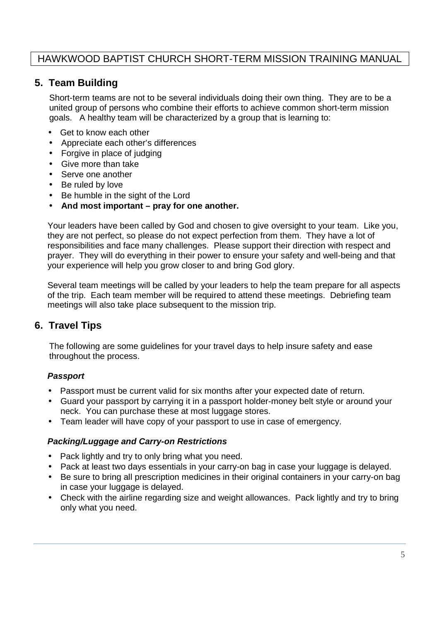## **5. Team Building**

Short-term teams are not to be several individuals doing their own thing. They are to be a united group of persons who combine their efforts to achieve common short-term mission goals. A healthy team will be characterized by a group that is learning to:

- Get to know each other
- Appreciate each other's differences
- Forgive in place of judging
- Give more than take
- Serve one another
- Be ruled by love
- Be humble in the sight of the Lord
- **And most important pray for one another.**

Your leaders have been called by God and chosen to give oversight to your team. Like you, they are not perfect, so please do not expect perfection from them. They have a lot of responsibilities and face many challenges. Please support their direction with respect and prayer. They will do everything in their power to ensure your safety and well-being and that your experience will help you grow closer to and bring God glory.

Several team meetings will be called by your leaders to help the team prepare for all aspects of the trip. Each team member will be required to attend these meetings. Debriefing team meetings will also take place subsequent to the mission trip.

## **6. Travel Tips**

The following are some guidelines for your travel days to help insure safety and ease throughout the process.

## **Passport**

- Passport must be current valid for six months after your expected date of return.
- Guard your passport by carrying it in a passport holder-money belt style or around your neck. You can purchase these at most luggage stores.
- Team leader will have copy of your passport to use in case of emergency.

## **Packing/Luggage and Carry-on Restrictions**

- Pack lightly and try to only bring what you need.
- Pack at least two days essentials in your carry-on bag in case your luggage is delayed.
- Be sure to bring all prescription medicines in their original containers in your carry-on bag in case your luggage is delayed.
- Check with the airline regarding size and weight allowances. Pack lightly and try to bring only what you need.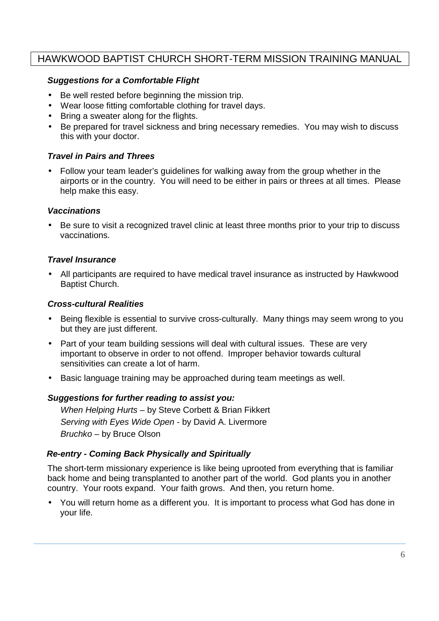## **Suggestions for a Comfortable Flight**

- Be well rested before beginning the mission trip.
- Wear loose fitting comfortable clothing for travel days.
- Bring a sweater along for the flights.
- Be prepared for travel sickness and bring necessary remedies. You may wish to discuss this with your doctor.

#### **Travel in Pairs and Threes**

• Follow your team leader's guidelines for walking away from the group whether in the airports or in the country. You will need to be either in pairs or threes at all times. Please help make this easy.

#### **Vaccinations**

• Be sure to visit a recognized travel clinic at least three months prior to your trip to discuss vaccinations.

#### **Travel Insurance**

• All participants are required to have medical travel insurance as instructed by Hawkwood Baptist Church.

#### **Cross-cultural Realities**

- Being flexible is essential to survive cross-culturally. Many things may seem wrong to you but they are just different.
- Part of your team building sessions will deal with cultural issues. These are very important to observe in order to not offend. Improper behavior towards cultural sensitivities can create a lot of harm.
- Basic language training may be approached during team meetings as well.

## **Suggestions for further reading to assist you:**

When Helping Hurts – by Steve Corbett & Brian Fikkert Serving with Eyes Wide Open - by David A. Livermore Bruchko – by Bruce Olson

## **Re-entry - Coming Back Physically and Spiritually**

The short-term missionary experience is like being uprooted from everything that is familiar back home and being transplanted to another part of the world. God plants you in another country. Your roots expand. Your faith grows. And then, you return home.

• You will return home as a different you. It is important to process what God has done in your life.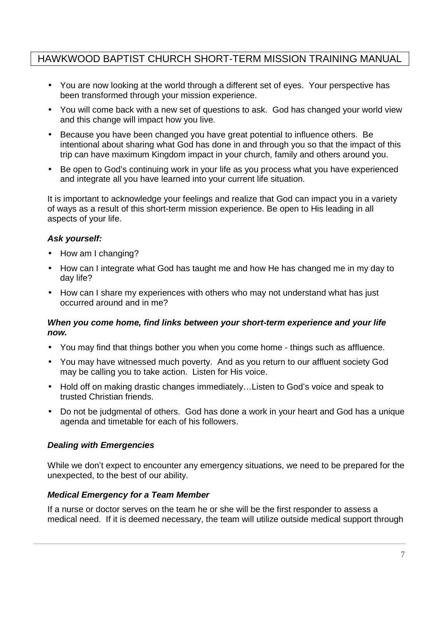- You are now looking at the world through a different set of eyes. Your perspective has been transformed through your mission experience.
- You will come back with a new set of questions to ask. God has changed your world view and this change will impact how you live.
- Because you have been changed you have great potential to influence others. Be intentional about sharing what God has done in and through you so that the impact of this trip can have maximum Kingdom impact in your church, family and others around you.
- Be open to God's continuing work in your life as you process what you have experienced and integrate all you have learned into your current life situation.

It is important to acknowledge your feelings and realize that God can impact you in a variety of ways as a result of this short-term mission experience. Be open to His leading in all aspects of your life.

## **Ask yourself:**

- How am I changing?
- How can I integrate what God has taught me and how He has changed me in my day to day life?
- How can I share my experiences with others who may not understand what has just occurred around and in me?

#### **When you come home, find links between your short-term experience and your life now.**

- You may find that things bother you when you come home things such as affluence.
- You may have witnessed much poverty. And as you return to our affluent society God may be calling you to take action. Listen for His voice.
- Hold off on making drastic changes immediately…Listen to God's voice and speak to trusted Christian friends.
- Do not be judgmental of others. God has done a work in your heart and God has a unique agenda and timetable for each of his followers.

## **Dealing with Emergencies**

While we don't expect to encounter any emergency situations, we need to be prepared for the unexpected, to the best of our ability.

## **Medical Emergency for a Team Member**

If a nurse or doctor serves on the team he or she will be the first responder to assess a medical need. If it is deemed necessary, the team will utilize outside medical support through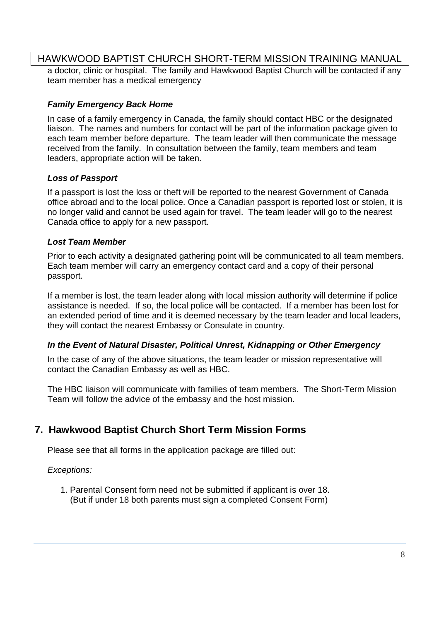a doctor, clinic or hospital. The family and Hawkwood Baptist Church will be contacted if any team member has a medical emergency

## **Family Emergency Back Home**

In case of a family emergency in Canada, the family should contact HBC or the designated liaison. The names and numbers for contact will be part of the information package given to each team member before departure. The team leader will then communicate the message received from the family. In consultation between the family, team members and team leaders, appropriate action will be taken.

## **Loss of Passport**

If a passport is lost the loss or theft will be reported to the nearest Government of Canada office abroad and to the local police. Once a Canadian passport is reported lost or stolen, it is no longer valid and cannot be used again for travel. The team leader will go to the nearest Canada office to apply for a new passport.

## **Lost Team Member**

Prior to each activity a designated gathering point will be communicated to all team members. Each team member will carry an emergency contact card and a copy of their personal passport.

If a member is lost, the team leader along with local mission authority will determine if police assistance is needed. If so, the local police will be contacted. If a member has been lost for an extended period of time and it is deemed necessary by the team leader and local leaders, they will contact the nearest Embassy or Consulate in country.

## **In the Event of Natural Disaster, Political Unrest, Kidnapping or Other Emergency**

In the case of any of the above situations, the team leader or mission representative will contact the Canadian Embassy as well as HBC.

The HBC liaison will communicate with families of team members. The Short-Term Mission Team will follow the advice of the embassy and the host mission.

## **7. Hawkwood Baptist Church Short Term Mission Forms**

Please see that all forms in the application package are filled out:

## Exceptions:

 1. Parental Consent form need not be submitted if applicant is over 18. (But if under 18 both parents must sign a completed Consent Form)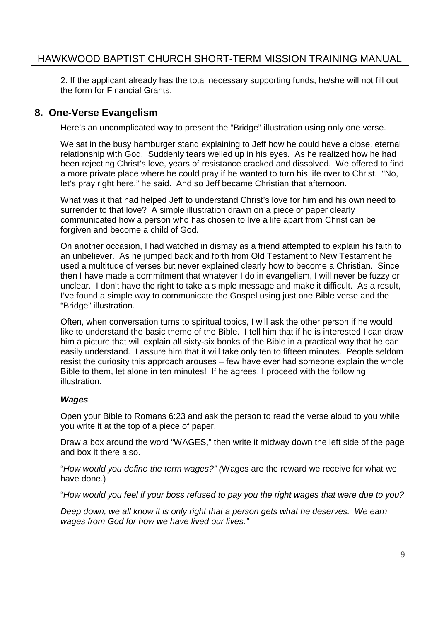2. If the applicant already has the total necessary supporting funds, he/she will not fill out the form for Financial Grants.

## **8. One-Verse Evangelism**

Here's an uncomplicated way to present the "Bridge" illustration using only one verse.

We sat in the busy hamburger stand explaining to Jeff how he could have a close, eternal relationship with God. Suddenly tears welled up in his eyes. As he realized how he had been rejecting Christ's love, years of resistance cracked and dissolved. We offered to find a more private place where he could pray if he wanted to turn his life over to Christ. "No, let's pray right here." he said. And so Jeff became Christian that afternoon.

What was it that had helped Jeff to understand Christ's love for him and his own need to surrender to that love? A simple illustration drawn on a piece of paper clearly communicated how a person who has chosen to live a life apart from Christ can be forgiven and become a child of God.

On another occasion, I had watched in dismay as a friend attempted to explain his faith to an unbeliever. As he jumped back and forth from Old Testament to New Testament he used a multitude of verses but never explained clearly how to become a Christian. Since then I have made a commitment that whatever I do in evangelism, I will never be fuzzy or unclear. I don't have the right to take a simple message and make it difficult. As a result, I've found a simple way to communicate the Gospel using just one Bible verse and the "Bridge" illustration.

Often, when conversation turns to spiritual topics, I will ask the other person if he would like to understand the basic theme of the Bible. I tell him that if he is interested I can draw him a picture that will explain all sixty-six books of the Bible in a practical way that he can easily understand. I assure him that it will take only ten to fifteen minutes. People seldom resist the curiosity this approach arouses – few have ever had someone explain the whole Bible to them, let alone in ten minutes! If he agrees, I proceed with the following illustration.

## **Wages**

Open your Bible to Romans 6:23 and ask the person to read the verse aloud to you while you write it at the top of a piece of paper.

Draw a box around the word "WAGES," then write it midway down the left side of the page and box it there also.

"How would you define the term wages?" (Wages are the reward we receive for what we have done.)

"How would you feel if your boss refused to pay you the right wages that were due to you?

Deep down, we all know it is only right that a person gets what he deserves. We earn wages from God for how we have lived our lives."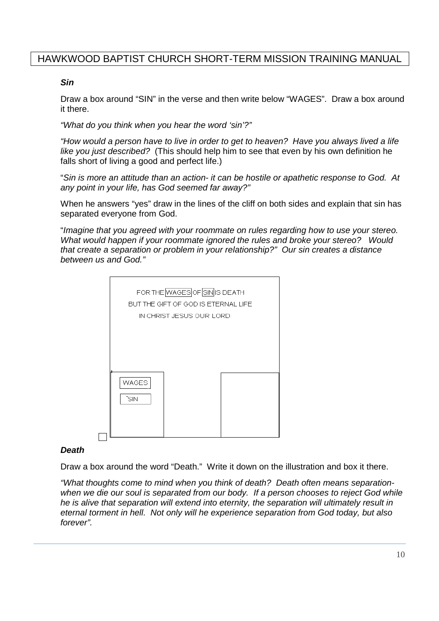#### **Sin**

Draw a box around "SIN" in the verse and then write below "WAGES". Draw a box around it there.

"What do you think when you hear the word 'sin'?"

"How would a person have to live in order to get to heaven? Have you always lived a life like you just described? (This should help him to see that even by his own definition he falls short of living a good and perfect life.)

"Sin is more an attitude than an action- it can be hostile or apathetic response to God. At any point in your life, has God seemed far away?"

When he answers "yes" draw in the lines of the cliff on both sides and explain that sin has separated everyone from God.

"Imagine that you agreed with your roommate on rules regarding how to use your stereo. What would happen if your roommate ignored the rules and broke your stereo? Would that create a separation or problem in your relationship?" Our sin creates a distance between us and God."



#### **Death**

Draw a box around the word "Death." Write it down on the illustration and box it there.

"What thoughts come to mind when you think of death? Death often means separationwhen we die our soul is separated from our body. If a person chooses to reject God while he is alive that separation will extend into eternity, the separation will ultimately result in eternal torment in hell. Not only will he experience separation from God today, but also forever".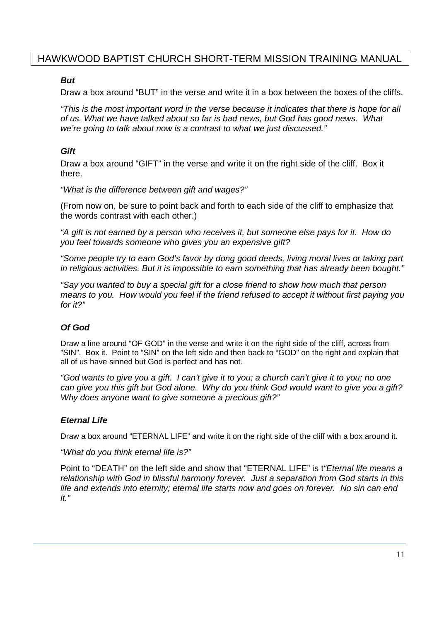#### **But**

Draw a box around "BUT" in the verse and write it in a box between the boxes of the cliffs.

"This is the most important word in the verse because it indicates that there is hope for all of us. What we have talked about so far is bad news, but God has good news. What we're going to talk about now is a contrast to what we just discussed."

## **Gift**

Draw a box around "GIFT" in the verse and write it on the right side of the cliff. Box it there.

"What is the difference between gift and wages?"

(From now on, be sure to point back and forth to each side of the cliff to emphasize that the words contrast with each other.)

"A gift is not earned by a person who receives it, but someone else pays for it. How do you feel towards someone who gives you an expensive gift?

"Some people try to earn God's favor by dong good deeds, living moral lives or taking part in religious activities. But it is impossible to earn something that has already been bought."

"Say you wanted to buy a special gift for a close friend to show how much that person means to you. How would you feel if the friend refused to accept it without first paying you for it?"

## **Of God**

Draw a line around "OF GOD" in the verse and write it on the right side of the cliff, across from "SIN". Box it. Point to "SIN" on the left side and then back to "GOD" on the right and explain that all of us have sinned but God is perfect and has not.

"God wants to give you a gift. I can't give it to you; a church can't give it to you; no one can give you this gift but God alone. Why do you think God would want to give you a gift? Why does anyone want to give someone a precious gift?"

## **Eternal Life**

Draw a box around "ETERNAL LIFE" and write it on the right side of the cliff with a box around it.

"What do you think eternal life is?"

Point to "DEATH" on the left side and show that "ETERNAL LIFE" is t"Eternal life means a relationship with God in blissful harmony forever. Just a separation from God starts in this life and extends into eternity; eternal life starts now and goes on forever. No sin can end it."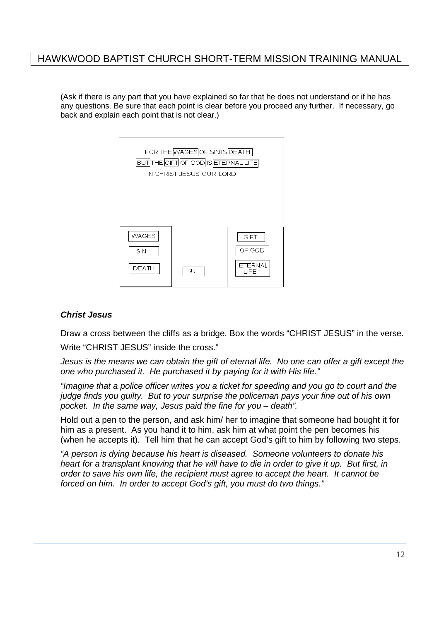(Ask if there is any part that you have explained so far that he does not understand or if he has any questions. Be sure that each point is clear before you proceed any further. If necessary, go back and explain each point that is not clear.)

|                                     | FOR THE WAGES OF SINIS DEATH<br><b>BUT THE GIFT OF GOD IS ETERNAL LIFE</b><br>IN CHRIST JESUS OUR LORD |                                          |
|-------------------------------------|--------------------------------------------------------------------------------------------------------|------------------------------------------|
| <b>WAGES</b><br>SIN<br><b>DEATH</b> | BUT                                                                                                    | GIFT<br>OF GOD<br><b>ETERNAL</b><br>LIFE |

#### **Christ Jesus**

Draw a cross between the cliffs as a bridge. Box the words "CHRIST JESUS" in the verse.

Write "CHRIST JESUS" inside the cross."

Jesus is the means we can obtain the gift of eternal life. No one can offer a gift except the one who purchased it. He purchased it by paying for it with His life."

"Imagine that a police officer writes you a ticket for speeding and you go to court and the judge finds you guilty. But to your surprise the policeman pays your fine out of his own pocket. In the same way, Jesus paid the fine for you – death".

Hold out a pen to the person, and ask him/ her to imagine that someone had bought it for him as a present. As you hand it to him, ask him at what point the pen becomes his (when he accepts it). Tell him that he can accept God's gift to him by following two steps.

"A person is dying because his heart is diseased. Someone volunteers to donate his heart for a transplant knowing that he will have to die in order to give it up. But first, in order to save his own life, the recipient must agree to accept the heart. It cannot be forced on him. In order to accept God's gift, you must do two things."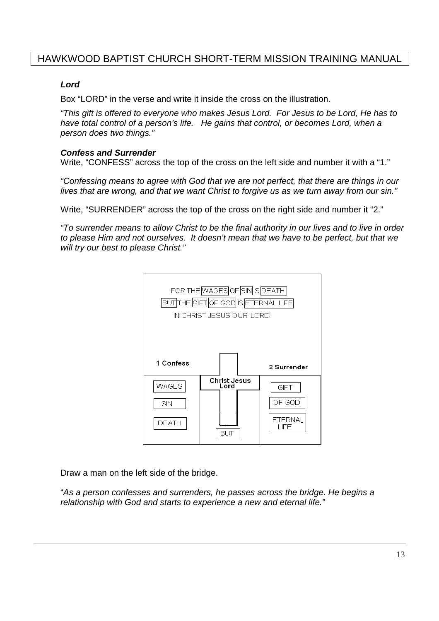#### **Lord**

Box "LORD" in the verse and write it inside the cross on the illustration.

"This gift is offered to everyone who makes Jesus Lord. For Jesus to be Lord, He has to have total control of a person's life. He gains that control, or becomes Lord, when a person does two things."

#### **Confess and Surrender**

Write, "CONFESS" across the top of the cross on the left side and number it with a "1."

"Confessing means to agree with God that we are not perfect, that there are things in our lives that are wrong, and that we want Christ to forgive us as we turn away from our sin."

Write, "SURRENDER" across the top of the cross on the right side and number it "2."

"To surrender means to allow Christ to be the final authority in our lives and to live in order to please Him and not ourselves. It doesn't mean that we have to be perfect, but that we will try our best to please Christ."



Draw a man on the left side of the bridge.

"As a person confesses and surrenders, he passes across the bridge. He begins a relationship with God and starts to experience a new and eternal life."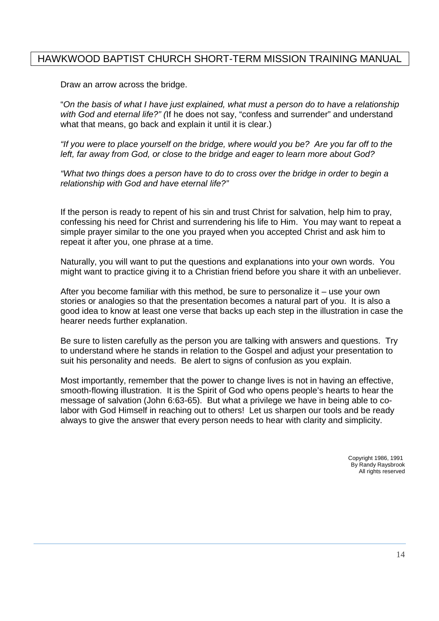Draw an arrow across the bridge.

"On the basis of what I have just explained, what must a person do to have a relationship with God and eternal life?" (If he does not say, "confess and surrender" and understand what that means, go back and explain it until it is clear.)

"If you were to place yourself on the bridge, where would you be? Are you far off to the left, far away from God, or close to the bridge and eager to learn more about God?

"What two things does a person have to do to cross over the bridge in order to begin a relationship with God and have eternal life?"

If the person is ready to repent of his sin and trust Christ for salvation, help him to pray, confessing his need for Christ and surrendering his life to Him. You may want to repeat a simple prayer similar to the one you prayed when you accepted Christ and ask him to repeat it after you, one phrase at a time.

Naturally, you will want to put the questions and explanations into your own words. You might want to practice giving it to a Christian friend before you share it with an unbeliever.

After you become familiar with this method, be sure to personalize it – use your own stories or analogies so that the presentation becomes a natural part of you. It is also a good idea to know at least one verse that backs up each step in the illustration in case the hearer needs further explanation.

Be sure to listen carefully as the person you are talking with answers and questions. Try to understand where he stands in relation to the Gospel and adjust your presentation to suit his personality and needs. Be alert to signs of confusion as you explain.

Most importantly, remember that the power to change lives is not in having an effective, smooth-flowing illustration. It is the Spirit of God who opens people's hearts to hear the message of salvation (John 6:63-65). But what a privilege we have in being able to colabor with God Himself in reaching out to others! Let us sharpen our tools and be ready always to give the answer that every person needs to hear with clarity and simplicity.

> Copyright 1986, 1991 By Randy Raysbrook All rights reserved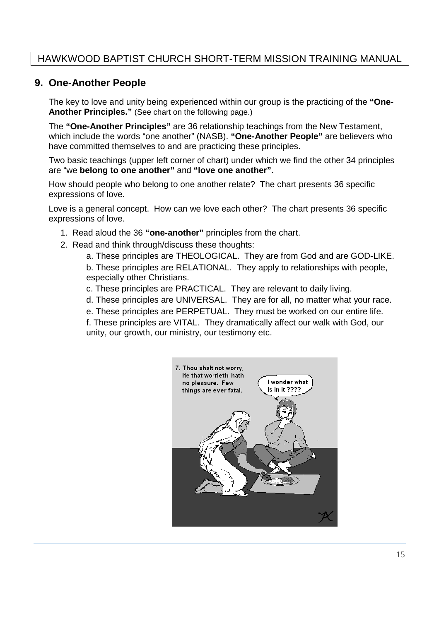## **9. One-Another People**

The key to love and unity being experienced within our group is the practicing of the **"One-Another Principles."** (See chart on the following page.)

The **"One-Another Principles"** are 36 relationship teachings from the New Testament, which include the words "one another" (NASB). **"One-Another People"** are believers who have committed themselves to and are practicing these principles.

Two basic teachings (upper left corner of chart) under which we find the other 34 principles are "we **belong to one another"** and **"love one another".** 

How should people who belong to one another relate? The chart presents 36 specific expressions of love.

Love is a general concept. How can we love each other? The chart presents 36 specific expressions of love.

- 1. Read aloud the 36 **"one-another"** principles from the chart.
- 2. Read and think through/discuss these thoughts:
	- a. These principles are THEOLOGICAL. They are from God and are GOD-LIKE. b. These principles are RELATIONAL. They apply to relationships with people, especially other Christians.
	- c. These principles are PRACTICAL. They are relevant to daily living.
	- d. These principles are UNIVERSAL. They are for all, no matter what your race.
	- e. These principles are PERPETUAL. They must be worked on our entire life.

f. These principles are VITAL. They dramatically affect our walk with God, our unity, our growth, our ministry, our testimony etc.

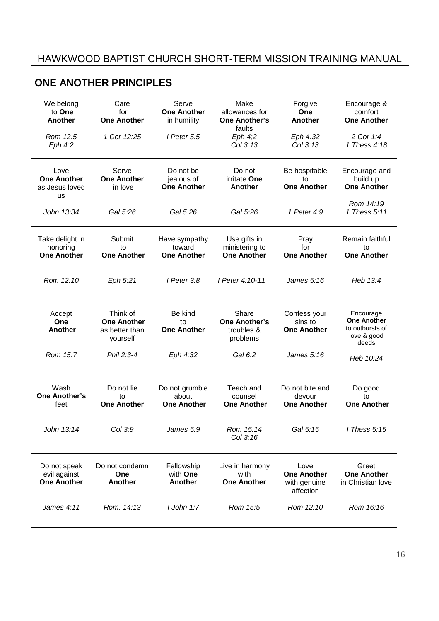## **ONE ANOTHER PRINCIPLES**

| We belong<br>to One<br>Another<br>Rom 12:5<br>Eph 4:2            | Care<br>for<br><b>One Another</b><br>1 Cor 12:25                           | Serve<br><b>One Another</b><br>in humility<br>I Peter 5:5  | Make<br>allowances for<br><b>One Another's</b><br>faults<br>Eph 4;2<br>Col 3:13 | Forgive<br>One<br>Another<br>Eph 4:32<br>Col 3:13                    | Encourage &<br>comfort<br><b>One Another</b><br>2 Cor 1:4<br>1 Thess 4:18               |
|------------------------------------------------------------------|----------------------------------------------------------------------------|------------------------------------------------------------|---------------------------------------------------------------------------------|----------------------------------------------------------------------|-----------------------------------------------------------------------------------------|
| Love<br><b>One Another</b><br>as Jesus loved<br>us<br>John 13:34 | Serve<br><b>One Another</b><br>in love<br>Gal 5:26                         | Do not be<br>jealous of<br><b>One Another</b><br>Gal 5:26  | Do not<br>irritate One<br>Another<br>Gal 5:26                                   | Be hospitable<br>to<br><b>One Another</b><br>1 Peter 4:9             | Encourage and<br>build up<br><b>One Another</b><br>Rom 14:19<br>1 Thess 5:11            |
| Take delight in<br>honoring<br><b>One Another</b>                | Submit<br>to<br><b>One Another</b>                                         | Have sympathy<br>toward<br><b>One Another</b>              | Use gifts in<br>ministering to<br><b>One Another</b>                            | Pray<br>for<br><b>One Another</b>                                    | Remain faithful<br>to<br><b>One Another</b>                                             |
| Rom 12:10                                                        | Eph 5:21                                                                   | I Peter 3:8                                                | I Peter 4:10-11                                                                 | James 5:16                                                           | Heb $13:4$                                                                              |
| Accept<br>One<br>Another<br>Rom 15:7                             | Think of<br><b>One Another</b><br>as better than<br>yourself<br>Phil 2:3-4 | Be kind<br>to<br><b>One Another</b><br>Eph 4:32            | Share<br><b>One Another's</b><br>troubles &<br>problems<br>Gal $6:2$            | Confess your<br>sins to<br><b>One Another</b><br>James 5:16          | Encourage<br><b>One Another</b><br>to outbursts of<br>love & good<br>deeds<br>Heb 10:24 |
| Wash<br>One Another's<br>feet<br>John 13:14                      | Do not lie<br>to<br><b>One Another</b><br>Col 3:9                          | Do not grumble<br>about<br><b>One Another</b><br>James 5:9 | Teach and<br>counsel<br><b>One Another</b><br>Rom 15:14<br>Col 3:16             | Do not bite and<br>devour<br><b>One Another</b><br>Gal 5:15          | Do good<br>to<br><b>One Another</b><br>1 Thess 5:15                                     |
| Do not speak<br>evil against<br><b>One Another</b><br>James 4:11 | Do not condemn<br><b>One</b><br>Another<br>Rom. 14:13                      | Fellowship<br>with One<br>Another<br>I John 1:7            | Live in harmony<br>with<br><b>One Another</b><br>Rom 15:5                       | Love<br><b>One Another</b><br>with genuine<br>affection<br>Rom 12:10 | Greet<br><b>One Another</b><br>in Christian love<br>Rom 16:16                           |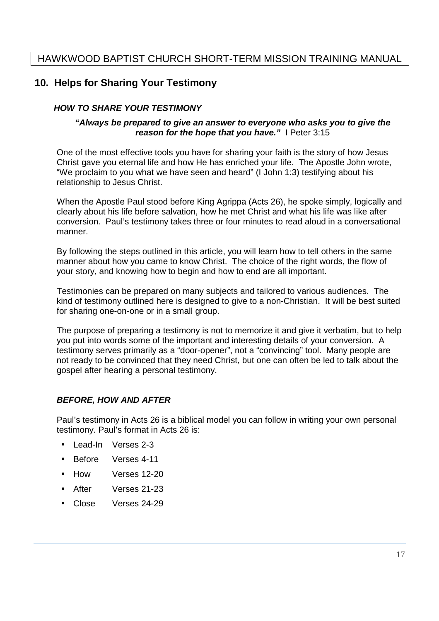## **10. Helps for Sharing Your Testimony**

## **HOW TO SHARE YOUR TESTIMONY**

## **"Always be prepared to give an answer to everyone who asks you to give the reason for the hope that you have."** I Peter 3:15

One of the most effective tools you have for sharing your faith is the story of how Jesus Christ gave you eternal life and how He has enriched your life. The Apostle John wrote, "We proclaim to you what we have seen and heard" (I John 1:3) testifying about his relationship to Jesus Christ.

When the Apostle Paul stood before King Agrippa (Acts 26), he spoke simply, logically and clearly about his life before salvation, how he met Christ and what his life was like after conversion. Paul's testimony takes three or four minutes to read aloud in a conversational manner.

By following the steps outlined in this article, you will learn how to tell others in the same manner about how you came to know Christ. The choice of the right words, the flow of your story, and knowing how to begin and how to end are all important.

Testimonies can be prepared on many subjects and tailored to various audiences. The kind of testimony outlined here is designed to give to a non-Christian. It will be best suited for sharing one-on-one or in a small group.

The purpose of preparing a testimony is not to memorize it and give it verbatim, but to help you put into words some of the important and interesting details of your conversion. A testimony serves primarily as a "door-opener", not a "convincing" tool. Many people are not ready to be convinced that they need Christ, but one can often be led to talk about the gospel after hearing a personal testimony.

## **BEFORE, HOW AND AFTER**

Paul's testimony in Acts 26 is a biblical model you can follow in writing your own personal testimony. Paul's format in Acts 26 is:

- Lead-In Verses 2-3
- Before Verses 4-11
- How Verses 12-20
- After Verses 21-23
- Close Verses 24-29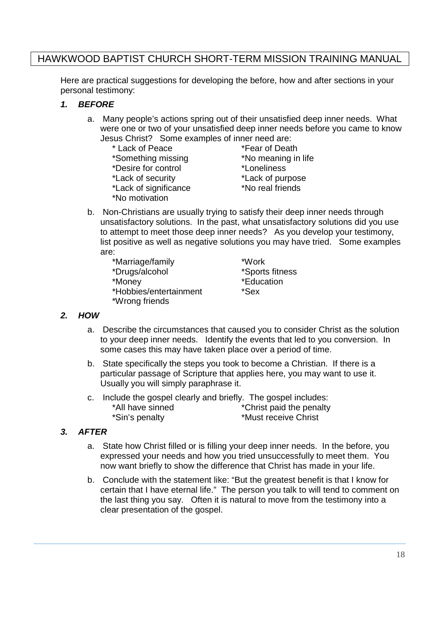Here are practical suggestions for developing the before, how and after sections in your personal testimony:

## **1. BEFORE**

a. Many people's actions spring out of their unsatisfied deep inner needs. What were one or two of your unsatisfied deep inner needs before you came to know Jesus Christ? Some examples of inner need are:

\* Lack of Peace \*Fear of Death \*Something missing \*No meaning in life \*Desire for control \*Loneliness \*Lack of security \*Lack of purpose \*Lack of significance \*No real friends \*No motivation

b. Non-Christians are usually trying to satisfy their deep inner needs through unsatisfactory solutions. In the past, what unsatisfactory solutions did you use to attempt to meet those deep inner needs? As you develop your testimony, list positive as well as negative solutions you may have tried. Some examples are:

| *Marriage/family       | *Work           |
|------------------------|-----------------|
| *Drugs/alcohol         | *Sports fitness |
| *Money                 | *Education      |
| *Hobbies/entertainment | *Sex            |
| *Wrong friends         |                 |

## **2. HOW**

- a. Describe the circumstances that caused you to consider Christ as the solution to your deep inner needs. Identify the events that led to you conversion. In some cases this may have taken place over a period of time.
- b. State specifically the steps you took to become a Christian. If there is a particular passage of Scripture that applies here, you may want to use it. Usually you will simply paraphrase it.
- c. Include the gospel clearly and briefly. The gospel includes: \*All have sinned \*Christ paid the penalty \*Sin's penalty \*Must receive Christ

## **3. AFTER**

- a. State how Christ filled or is filling your deep inner needs. In the before, you expressed your needs and how you tried unsuccessfully to meet them. You now want briefly to show the difference that Christ has made in your life.
- b. Conclude with the statement like: "But the greatest benefit is that I know for certain that I have eternal life." The person you talk to will tend to comment on the last thing you say. Often it is natural to move from the testimony into a clear presentation of the gospel.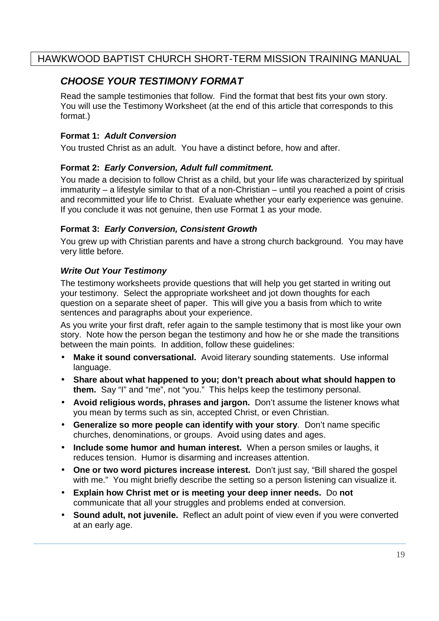## **CHOOSE YOUR TESTIMONY FORMAT**

Read the sample testimonies that follow. Find the format that best fits your own story. You will use the Testimony Worksheet (at the end of this article that corresponds to this format.)

## **Format 1: Adult Conversion**

You trusted Christ as an adult. You have a distinct before, how and after.

## **Format 2: Early Conversion, Adult full commitment.**

You made a decision to follow Christ as a child, but your life was characterized by spiritual immaturity – a lifestyle similar to that of a non-Christian – until you reached a point of crisis and recommitted your life to Christ. Evaluate whether your early experience was genuine. If you conclude it was not genuine, then use Format 1 as your mode.

## **Format 3: Early Conversion, Consistent Growth**

You grew up with Christian parents and have a strong church background. You may have very little before.

## **Write Out Your Testimony**

The testimony worksheets provide questions that will help you get started in writing out your testimony. Select the appropriate worksheet and jot down thoughts for each question on a separate sheet of paper. This will give you a basis from which to write sentences and paragraphs about your experience.

As you write your first draft, refer again to the sample testimony that is most like your own story. Note how the person began the testimony and how he or she made the transitions between the main points. In addition, follow these guidelines:

- **Make it sound conversational.** Avoid literary sounding statements. Use informal language.
- **Share about what happened to you; don't preach about what should happen to them.** Say "I" and "me", not "you." This helps keep the testimony personal.
- **Avoid religious words, phrases and jargon.** Don't assume the listener knows what you mean by terms such as sin, accepted Christ, or even Christian.
- **Generalize so more people can identify with your story**. Don't name specific churches, denominations, or groups. Avoid using dates and ages.
- **Include some humor and human interest.** When a person smiles or laughs, it reduces tension. Humor is disarming and increases attention.
- **One or two word pictures increase interest.** Don't just say, "Bill shared the gospel with me." You might briefly describe the setting so a person listening can visualize it.
- **Explain how Christ met or is meeting your deep inner needs.** Do **not**  communicate that all your struggles and problems ended at conversion.
- **Sound adult, not juvenile.** Reflect an adult point of view even if you were converted at an early age.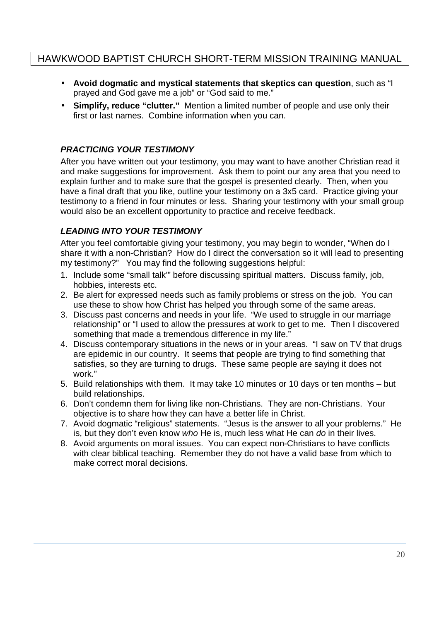- **Avoid dogmatic and mystical statements that skeptics can question**, such as "I prayed and God gave me a job" or "God said to me."
- **Simplify, reduce "clutter."** Mention a limited number of people and use only their first or last names. Combine information when you can.

## **PRACTICING YOUR TESTIMONY**

After you have written out your testimony, you may want to have another Christian read it and make suggestions for improvement. Ask them to point our any area that you need to explain further and to make sure that the gospel is presented clearly. Then, when you have a final draft that you like, outline your testimony on a 3x5 card. Practice giving your testimony to a friend in four minutes or less. Sharing your testimony with your small group would also be an excellent opportunity to practice and receive feedback.

## **LEADING INTO YOUR TESTIMONY**

After you feel comfortable giving your testimony, you may begin to wonder, "When do I share it with a non-Christian? How do I direct the conversation so it will lead to presenting my testimony?" You may find the following suggestions helpful:

- 1. Include some "small talk'" before discussing spiritual matters. Discuss family, job, hobbies, interests etc.
- 2. Be alert for expressed needs such as family problems or stress on the job. You can use these to show how Christ has helped you through some of the same areas.
- 3. Discuss past concerns and needs in your life. "We used to struggle in our marriage relationship" or "I used to allow the pressures at work to get to me. Then I discovered something that made a tremendous difference in my life."
- 4. Discuss contemporary situations in the news or in your areas. "I saw on TV that drugs are epidemic in our country. It seems that people are trying to find something that satisfies, so they are turning to drugs. These same people are saying it does not work."
- 5. Build relationships with them. It may take 10 minutes or 10 days or ten months but build relationships.
- 6. Don't condemn them for living like non-Christians. They are non-Christians. Your objective is to share how they can have a better life in Christ.
- 7. Avoid dogmatic "religious" statements. "Jesus is the answer to all your problems." He is, but they don't even know who He is, much less what He can do in their lives.
- 8. Avoid arguments on moral issues. You can expect non-Christians to have conflicts with clear biblical teaching. Remember they do not have a valid base from which to make correct moral decisions.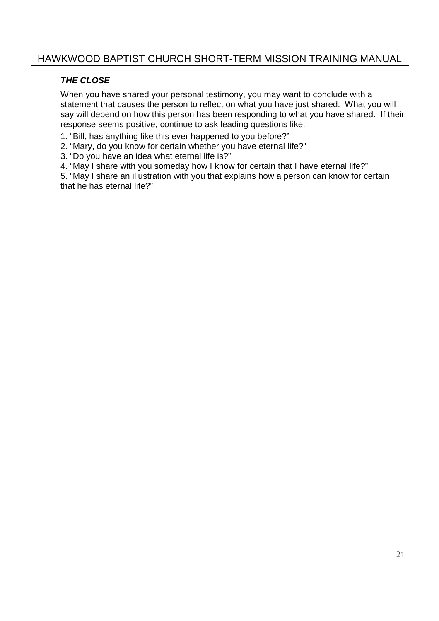## **THE CLOSE**

When you have shared your personal testimony, you may want to conclude with a statement that causes the person to reflect on what you have just shared. What you will say will depend on how this person has been responding to what you have shared. If their response seems positive, continue to ask leading questions like:

1. "Bill, has anything like this ever happened to you before?"

2. "Mary, do you know for certain whether you have eternal life?"

3. "Do you have an idea what eternal life is?"

4. "May I share with you someday how I know for certain that I have eternal life?"

5. "May I share an illustration with you that explains how a person can know for certain that he has eternal life?"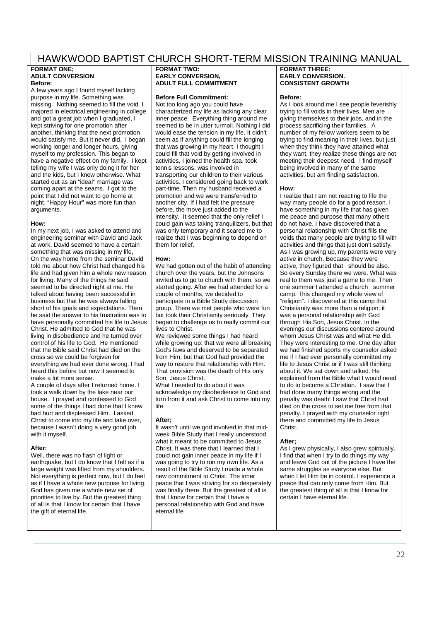#### **FORMAT ONE; ADULT CONVERSION Before:**

A few years ago I found myself lacking purpose in my life. Something was missing. Nothing seemed to fill the void. I majored in electrical engineering in college and got a great job when I graduated, I kept striving for one promotion after another, thinking that the next promotion would satisfy me. But it never did. I began working longer and longer hours, giving myself to my profession. This began to have a negative effect on my family. I kept telling my wife I was only doing it for her and the kids, but I knew otherwise. What started out as an "ideal" marriage was coming apart at the seams. I got to the point that I did not want to go home at night. "Happy Hour" was more fun than arguments.

#### **How:**

In my next job, I was asked to attend and engineering seminar with David and Jack at work. David seemed to have a certain something that was missing in my life, On the way home from the seminar David told me about how Christ had changed his life and had given him a whole new reason for living. Many of the things he said seemed to be directed right at me. He talked about having been successful in business but that he was always falling short of his goals and expectations. Then he said the answer to his frustration was to have personally committed his life to Jesus Christ. He admitted to God that he was living in disobedience and he turned over control of his life to God. He mentioned that the Bible said Christ had died on the cross so we could be forgiven for everything we had ever done wrong. I had heard this before but now it seemed to make a lot more sense.

A couple of days after I returned home. I took a walk down by the lake near our house. I prayed and confessed to God some of the things I had done that I knew had hurt and displeased Him. I asked Christ to come into my life and take over, because I wasn't doing a very good job with it myself.

#### **After:**

Well, there was no flash of light or earthquake, but I do know that I felt as if a large weight was lifted from my shoulders. Not everything is perfect now, but I do feel as if I have a whole new purpose for living. God has given me a whole new set of priorities to live by. But the greatest thing of all is that I know for certain that I have the gift of eternal life.

#### **FORMAT TWO: EARLY CONVERSION, ADULT FULL COMMITMENT**

#### **Before Full Commitment:**

Not too long ago you could have characterized my life as lacking any clear inner peace. Everything thing around me seemed to be in utter turmoil. Nothing I did would ease the tension in my life. It didn't seem as if anything could fill the longing that was growing in my heart. I thought I could fill that void by getting involved in activities, I joined the health spa, took tennis lessons, was involved in transporting our children to their various activities. I considered going back to work part-time. Then my husband received a promotion and we were transferred to another city. If I had felt the pressure before, the move just added to the intensity. It seemed that the only relief I could gain was taking tranquilizers, but that was only temporary and it scared me to realize that I was beginning to depend on them for relief.

#### **How:**

We had gotten out of the habit of attending church over the years, but the Johnsons invited us to go to church with them, so we started going. After we had attended for a couple of months, we decided to participate in a Bible Study discussion group. There we met people who were fun but took their Christianity seriously. They began to challenge us to really commit our lives to Christ.

We reviewed some things I had heard while growing up: that we were all breaking God's laws and deserved to be separated from Him, but that God had provided the way to restore that relationship with Him. That provision was the death of His only Son, Jesus Christ.

What I needed to do about it was acknowledge my disobedience to God and turn from it and ask Christ to come into my life

#### **After;**

It wasn't until we god involved in that midweek Bible Study that I really understood what it meant to be committed to Jesus Christ. It was there that I learned that I could not gain inner peace in my life if I was going to try to run my own life. As a result of the Bible Study I made a whole new commitment to Christ. The inner peace that I was striving for so desperately was finally there. But the greatest of all is that I know for certain that I have a personal relationship with God and have eternal life

#### **FORMAT THREE: EARLY CONVERSION. CONSISTENT GROWTH**

#### **Before:**

As I look around me I see people feverishly trying to fill voids in their lives. Men are giving themselves to their jobs, and in the process sacrificing their families. A number of my fellow workers seem to be trying to find meaning in their lives, but just when they think they have attained what they want, they realize these things are not meeting their deepest need. I find myself being involved in many of the same activities, but am finding satisfaction.

#### **How:**

I realize that I am not reacting to life the way many people do for a good reason. I have something in my life that has given me peace and purpose that many others do not have. I have discovered that a personal relationship with Christ fills the voids that many people are trying to fill with activities and things that just don't satisfy. As I was growing up, my parents were very active in church. Because they were active, they figured that should be also. So every Sunday there we were. What was real to them was just a game to me. Then one summer I attended a church summer camp. This changed my whole view of "religion". I discovered at this camp that Christianity was more than a religion; it was a personal relationship with God through His Son, Jesus Christ. In the evenings our discussions centered around whom Jesus Christ was and what He did. They were interesting to me. One day after we had finished sports my counselor asked me if I had ever personally committed my life to Jesus Christ or if I was still thinking about it. We sat down and talked. He explained from the Bible what I would need to do to become a Christian. I saw that I had done many things wrong and the penalty was death! I saw that Christ had died on the cross to set me free from that penalty. I prayed with my counselor right there and committed my life to Jesus Christ.

#### **After;**

As I grew physically, I also grew spiritually. I find that when I try to do things my way and leave God out of the picture I have the same struggles as everyone else. But when I let Him be in control. I experience a peace that can only come from Him. But the greatest thing of all is that I know for certain I have eternal life.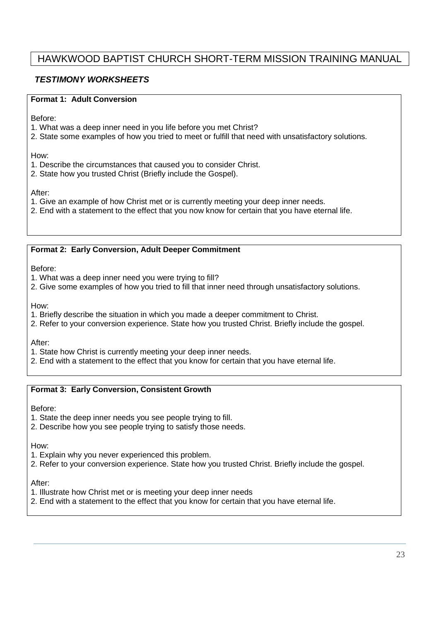## **TESTIMONY WORKSHEETS**

## **Format 1: Adult Conversion**

Before:

1. What was a deep inner need in you life before you met Christ?

2. State some examples of how you tried to meet or fulfill that need with unsatisfactory solutions.

How:

- 1. Describe the circumstances that caused you to consider Christ.
- 2. State how you trusted Christ (Briefly include the Gospel).

After:

- 1. Give an example of how Christ met or is currently meeting your deep inner needs.
- 2. End with a statement to the effect that you now know for certain that you have eternal life.

#### **Format 2: Early Conversion, Adult Deeper Commitment**

Before:

- 1. What was a deep inner need you were trying to fill?
- 2. Give some examples of how you tried to fill that inner need through unsatisfactory solutions.

How:

- 1. Briefly describe the situation in which you made a deeper commitment to Christ.
- 2. Refer to your conversion experience. State how you trusted Christ. Briefly include the gospel.

After:

- 1. State how Christ is currently meeting your deep inner needs.
- 2. End with a statement to the effect that you know for certain that you have eternal life.

#### **Format 3: Early Conversion, Consistent Growth**

Before:

- 1. State the deep inner needs you see people trying to fill.
- 2. Describe how you see people trying to satisfy those needs.

How:

- 1. Explain why you never experienced this problem.
- 2. Refer to your conversion experience. State how you trusted Christ. Briefly include the gospel.

After:

- 1. Illustrate how Christ met or is meeting your deep inner needs
- 2. End with a statement to the effect that you know for certain that you have eternal life.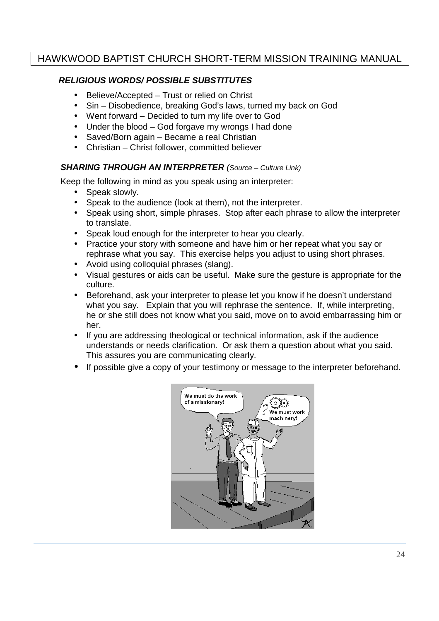## **RELIGIOUS WORDS/ POSSIBLE SUBSTITUTES**

- Believe/Accepted Trust or relied on Christ
- Sin Disobedience, breaking God's laws, turned my back on God
- Went forward Decided to turn my life over to God
- Under the blood God forgave my wrongs I had done
- Saved/Born again Became a real Christian
- Christian Christ follower, committed believer

#### **SHARING THROUGH AN INTERPRETER** (Source – Culture Link)

Keep the following in mind as you speak using an interpreter:

- Speak slowly.
- Speak to the audience (look at them), not the interpreter.
- Speak using short, simple phrases. Stop after each phrase to allow the interpreter to translate.
- Speak loud enough for the interpreter to hear you clearly.
- Practice your story with someone and have him or her repeat what you say or rephrase what you say. This exercise helps you adjust to using short phrases.
- Avoid using colloquial phrases (slang).
- Visual gestures or aids can be useful. Make sure the gesture is appropriate for the culture.
- Beforehand, ask your interpreter to please let you know if he doesn't understand what you say. Explain that you will rephrase the sentence. If, while interpreting, he or she still does not know what you said, move on to avoid embarrassing him or her.
- If you are addressing theological or technical information, ask if the audience understands or needs clarification. Or ask them a question about what you said. This assures you are communicating clearly.
- If possible give a copy of your testimony or message to the interpreter beforehand.

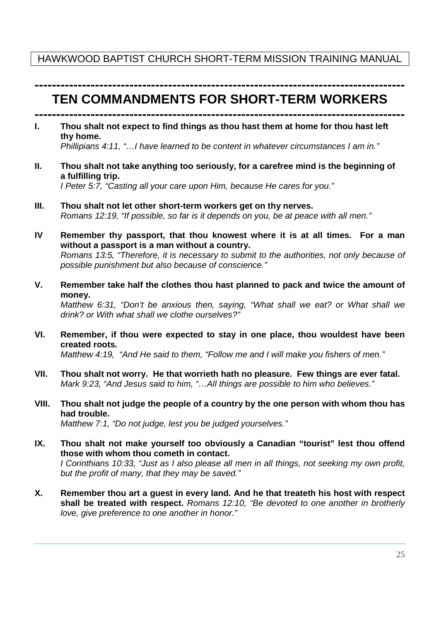## **-------------------------------------------------------------------------------------- TEN COMMANDMENTS FOR SHORT-TERM WORKERS**

**-------------------------------------------------------------------------------------- I. Thou shalt not expect to find things as thou hast them at home for thou hast left thy home.** 

Phillipians 4:11, "…I have learned to be content in whatever circumstances I am in."

**II. Thou shalt not take anything too seriously, for a carefree mind is the beginning of a fulfilling trip.** 

I Peter 5:7, "Casting all your care upon Him, because He cares for you."

- **III. Thou shalt not let other short-term workers get on thy nerves.**  Romans 12:19, "If possible, so far is it depends on you, be at peace with all men."
- **IV Remember thy passport, that thou knowest where it is at all times. For a man without a passport is a man without a country.**  Romans 13:5, "Therefore, it is necessary to submit to the authorities, not only because of possible punishment but also because of conscience."
- **V. Remember take half the clothes thou hast planned to pack and twice the amount of money.**  Matthew 6:31, "Don't be anxious then, saying, "What shall we eat? or What shall we drink? or With what shall we clothe ourselves?"
- **VI. Remember, if thou were expected to stay in one place, thou wouldest have been created roots.**

Matthew 4:19, "And He said to them, "Follow me and I will make you fishers of men."

- **VII. Thou shalt not worry. He that worrieth hath no pleasure. Few things are ever fatal.**  Mark 9:23, "And Jesus said to him, "...All things are possible to him who believes."
- **VIII. Thou shalt not judge the people of a country by the one person with whom thou has had trouble.**  Matthew 7:1, "Do not judge, lest you be judged yourselves."
- **IX. Thou shalt not make yourself too obviously a Canadian "tourist" lest thou offend those with whom thou cometh in contact.**  I Corinthians 10:33, "Just as I also please all men in all things, not seeking my own profit, but the profit of many, that they may be saved."
- **X. Remember thou art a guest in every land. And he that treateth his host with respect shall be treated with respect.** Romans 12:10, "Be devoted to one another in brotherly love, give preference to one another in honor."